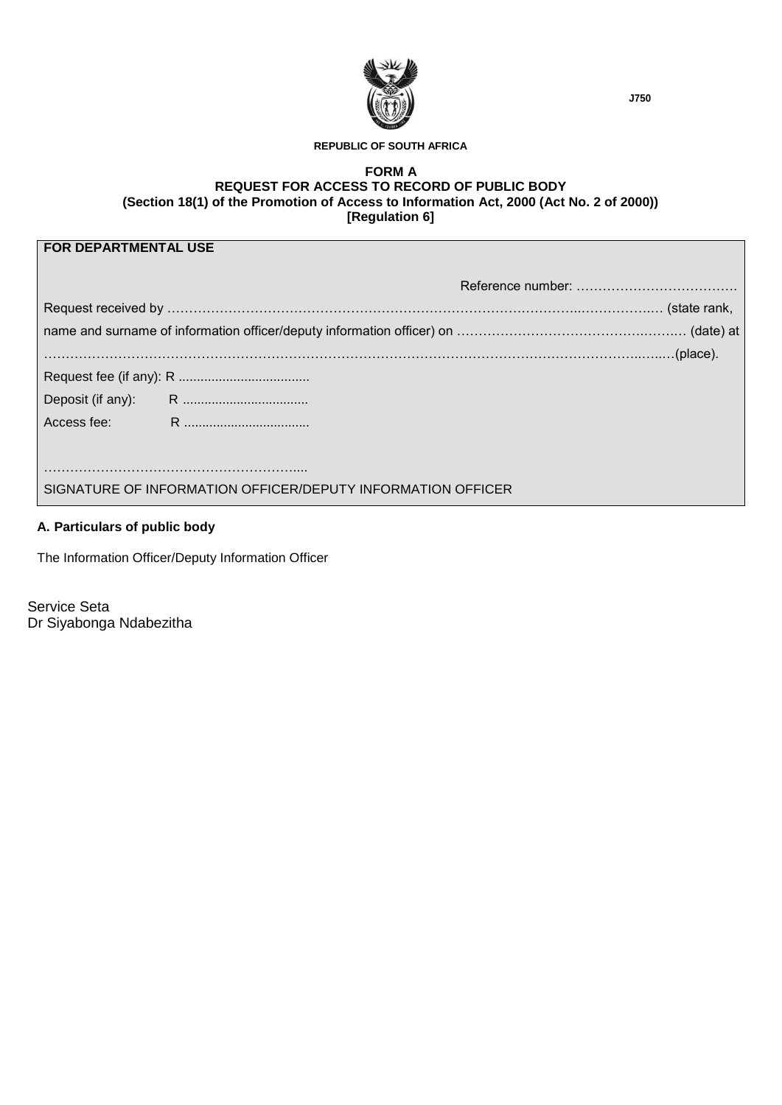

#### **REPUBLIC OF SOUTH AFRICA**

#### **FORM A REQUEST FOR ACCESS TO RECORD OF PUBLIC BODY (Section 18(1) of the Promotion of Access to Information Act, 2000 (Act No. 2 of 2000)) [Regulation 6]**

# **FOR DEPARTMENTAL USE**

| SIGNATURE OF INFORMATION OFFICER/DEPUTY INFORMATION OFFICER |  |
|-------------------------------------------------------------|--|

## **A. Particulars of public body**

The Information Officer/Deputy Information Officer

Service Seta Dr Siyabonga Ndabezitha **J750**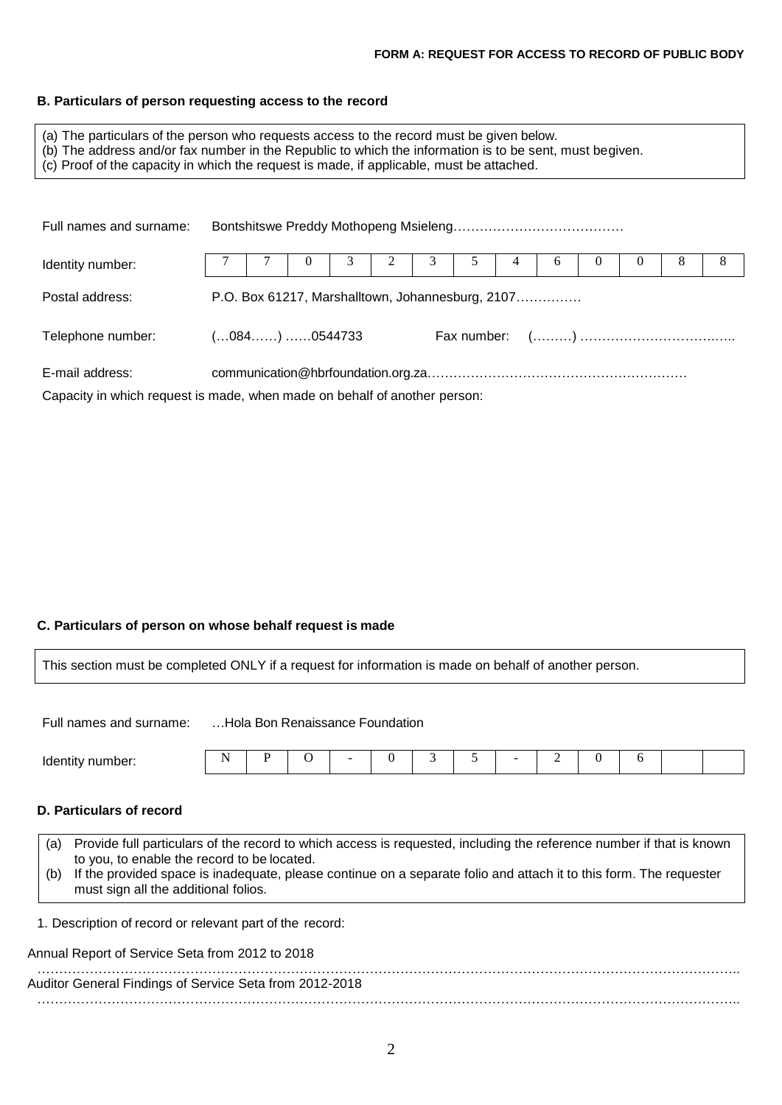## **B. Particulars of person requesting access to the record**

| (a) The particulars of the person who requests access to the record must be given below.<br>(b) The address and/or fax number in the Republic to which the information is to be sent, must begiven.<br>(c) Proof of the capacity in which the request is made, if applicable, must be attached. |  |  |  |  |  |  |  |  |  |  |  |  |  |
|-------------------------------------------------------------------------------------------------------------------------------------------------------------------------------------------------------------------------------------------------------------------------------------------------|--|--|--|--|--|--|--|--|--|--|--|--|--|
| Full names and surname:                                                                                                                                                                                                                                                                         |  |  |  |  |  |  |  |  |  |  |  |  |  |
| Identity number:                                                                                                                                                                                                                                                                                |  |  |  |  |  |  |  |  |  |  |  |  |  |

| Postal address:   | P.O. Box 61217, Marshalltown, Johannesburg, 2107 |  |  |  |  |  |  |  |
|-------------------|--------------------------------------------------|--|--|--|--|--|--|--|
| Telephone number: | (084):0544733                                    |  |  |  |  |  |  |  |
| E-mail address:   |                                                  |  |  |  |  |  |  |  |

Capacity in which request is made, when made on behalf of another person:

## **C. Particulars of person on whose behalf request is made**

| This section must be completed ONLY if a request for information is made on behalf of another person.                                                                                                                                                                                                                                                                       |   |   |   |                                 |          |   |   |   |          |   |  |
|-----------------------------------------------------------------------------------------------------------------------------------------------------------------------------------------------------------------------------------------------------------------------------------------------------------------------------------------------------------------------------|---|---|---|---------------------------------|----------|---|---|---|----------|---|--|
| Full names and surname:                                                                                                                                                                                                                                                                                                                                                     |   |   |   | Hola Bon Renaissance Foundation |          |   |   |   |          |   |  |
| Identity number:                                                                                                                                                                                                                                                                                                                                                            | N | P | O |                                 | $\Omega$ | 3 | 5 | 2 | $\theta$ | 6 |  |
| D. Particulars of record<br>Provide full particulars of the record to which access is requested, including the reference number if that is known<br>(a)<br>to you, to enable the record to be located.<br>If the provided space is inadequate, please continue on a separate folio and attach it to this form. The requester<br>(b)<br>must sign all the additional folios. |   |   |   |                                 |          |   |   |   |          |   |  |
| 1. Description of record or relevant part of the record:<br>Annual Report of Service Seta from 2012 to 2018                                                                                                                                                                                                                                                                 |   |   |   |                                 |          |   |   |   |          |   |  |
| Auditor General Findings of Service Seta from 2012-2018                                                                                                                                                                                                                                                                                                                     |   |   |   |                                 |          |   |   |   |          |   |  |

……………………………………………………………………………………………………………………………………………..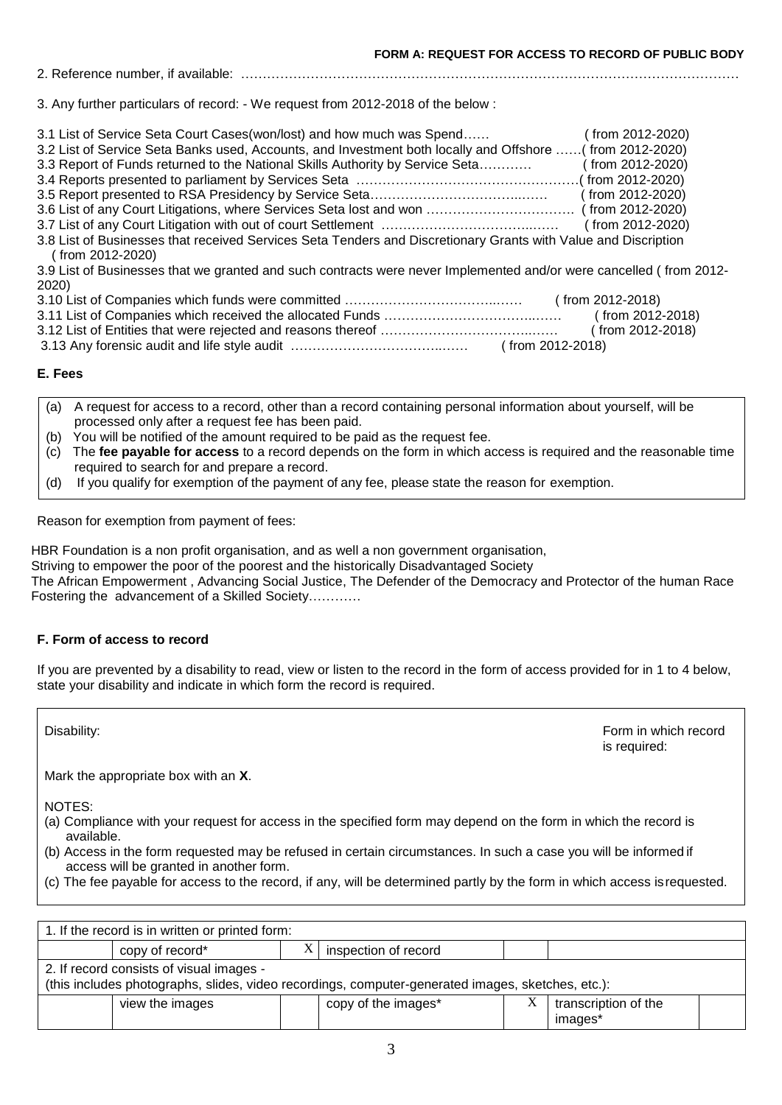### 2. Reference number, if available: ……………………………………………………………………………………………………

3. Any further particulars of record: - We request from 2012-2018 of the below :

| 3.1 List of Service Seta Court Cases (won/lost) and how much was Spend                                         | (from 2012-2020) |
|----------------------------------------------------------------------------------------------------------------|------------------|
| 3.2 List of Service Seta Banks used, Accounts, and Investment both locally and Offshore  (from 2012-2020)      |                  |
| 3.3 Report of Funds returned to the National Skills Authority by Service Seta                                  | (from 2012-2020) |
|                                                                                                                |                  |
|                                                                                                                | (from 2012-2020) |
|                                                                                                                |                  |
|                                                                                                                | (from 2012-2020) |
| 3.8 List of Businesses that received Services Seta Tenders and Discretionary Grants with Value and Discription |                  |
| (from 2012-2020)                                                                                               |                  |
| 3.9 List of Businesses that we grapted and such contracts were never Implemented and/or were cancelled (from   |                  |

iu such contracts were never Implemented and/or were cancelled ( from 2012-2020)

| (from 2012-2018) |
|------------------|
| (from 2012-2018) |
| (from 2012-2018) |
| (from 2012-2018) |

### **E. Fees**

- (a) A request for access to a record, other than a record containing personal information about yourself, will be processed only after a request fee has been paid.
- (b) You will be notified of the amount required to be paid as the request fee.
- (c) The **fee payable for access** to a record depends on the form in which access is required and the reasonable time required to search for and prepare a record.
- (d) If you qualify for exemption of the payment of any fee, please state the reason for exemption.

Reason for exemption from payment of fees:

HBR Foundation is a non profit organisation, and as well a non government organisation,

Striving to empower the poor of the poorest and the historically Disadvantaged Society

The African Empowerment , Advancing Social Justice, The Defender of the Democracy and Protector of the human Race Fostering the advancement of a Skilled Society…………

### **F. Form of access to record**

If you are prevented by a disability to read, view or listen to the record in the form of access provided for in 1 to 4 below, state your disability and indicate in which form the record is required.

Disability: **Form in which record**  $\blacksquare$ is required:

Mark the appropriate box with an **X**.

NOTES:

- (a) Compliance with your request for access in the specified form may depend on the form in which the record is available.
- (b) Access in the form requested may be refused in certain circumstances. In such a case you will be informed if access will be granted in another form.
- (c) The fee payable for access to the record, if any, will be determined partly by the form in which access isrequested.

|                                                                                                                                               | 1. If the record is in written or printed form: |  |                      |   |                                 |  |
|-----------------------------------------------------------------------------------------------------------------------------------------------|-------------------------------------------------|--|----------------------|---|---------------------------------|--|
|                                                                                                                                               | copy of record*                                 |  | inspection of record |   |                                 |  |
| 2. If record consists of visual images -<br>(this includes photographs, slides, video recordings, computer-generated images, sketches, etc.): |                                                 |  |                      |   |                                 |  |
|                                                                                                                                               | view the images                                 |  | copy of the images*  | Х | transcription of the<br>images* |  |